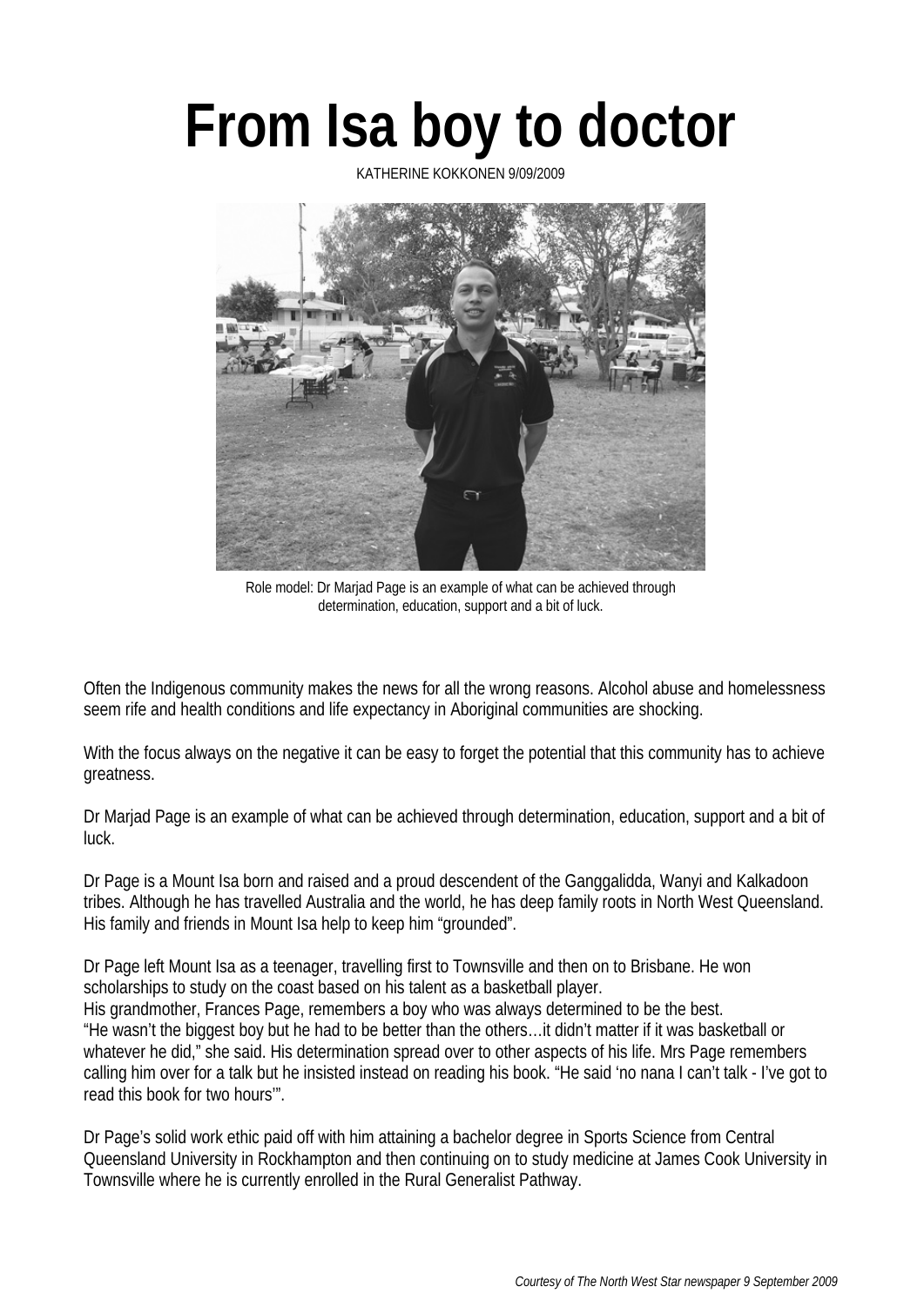## **From Isa boy to doctor**

KATHERINE KOKKONEN 9/09/2009



Role model: Dr Marjad Page is an example of what can be achieved through determination, education, support and a bit of luck.

Often the Indigenous community makes the news for all the wrong reasons. Alcohol abuse and homelessness seem rife and health conditions and life expectancy in Aboriginal communities are shocking.

With the focus always on the negative it can be easy to forget the potential that this community has to achieve greatness.

Dr Marjad Page is an example of what can be achieved through determination, education, support and a bit of luck.

Dr Page is a Mount Isa born and raised and a proud descendent of the Ganggalidda, Wanyi and Kalkadoon tribes. Although he has travelled Australia and the world, he has deep family roots in North West Queensland. His family and friends in Mount Isa help to keep him "grounded".

Dr Page left Mount Isa as a teenager, travelling first to Townsville and then on to Brisbane. He won scholarships to study on the coast based on his talent as a basketball player. His grandmother, Frances Page, remembers a boy who was always determined to be the best. "He wasn't the biggest boy but he had to be better than the others…it didn't matter if it was basketball or whatever he did," she said. His determination spread over to other aspects of his life. Mrs Page remembers calling him over for a talk but he insisted instead on reading his book. "He said 'no nana I can't talk - I've got to read this book for two hours'".

Dr Page's solid work ethic paid off with him attaining a bachelor degree in Sports Science from Central Queensland University in Rockhampton and then continuing on to study medicine at James Cook University in Townsville where he is currently enrolled in the Rural Generalist Pathway.